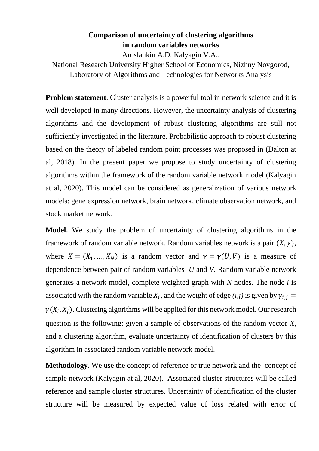## **Comparison of uncertainty of clustering algorithms in random variables networks**

Aroslankin A.D. Kalyagin V.A..

National Research University Higher School of Economics, Nizhny Novgorod, Laboratory of Algorithms and Technologies for Networks Analysis

**Problem statement**. Cluster analysis is a powerful tool in network science and it is well developed in many directions. However, the uncertainty analysis of clustering algorithms and the development of robust clustering algorithms are still not sufficiently investigated in the literature. Probabilistic approach to robust clustering based on the theory of labeled random point processes was proposed in (Dalton at al, 2018). In the present paper we propose to study uncertainty of clustering algorithms within the framework of the random variable network model (Kalyagin at al, 2020). This model can be considered as generalization of various network models: gene expression network, brain network, climate observation network, and stock market network.

**Model.** We study the problem of uncertainty of clustering algorithms in the framework of random variable network. Random variables network is a pair  $(X, \gamma)$ , where  $X = (X_1, ..., X_N)$  is a random vector and  $\gamma = \gamma(U, V)$  is a measure of dependence between pair of random variables *U* and *V*. Random variable network generates a network model, complete weighted graph with *N* nodes. The node *i* is associated with the random variable  $X_i$ , and the weight of edge  $(i,j)$  is given by  $\gamma_{i,j}$  $\gamma(X_i, X_j)$ . Clustering algorithms will be applied for this network model. Our research question is the following: given a sample of observations of the random vector *X*, and a clustering algorithm, evaluate uncertainty of identification of clusters by this algorithm in associated random variable network model.

**Methodology.** We use the concept of reference or true network and the concept of sample network (Kalyagin at al, 2020). Associated cluster structures will be called reference and sample cluster structures. Uncertainty of identification of the cluster structure will be measured by expected value of loss related with error of